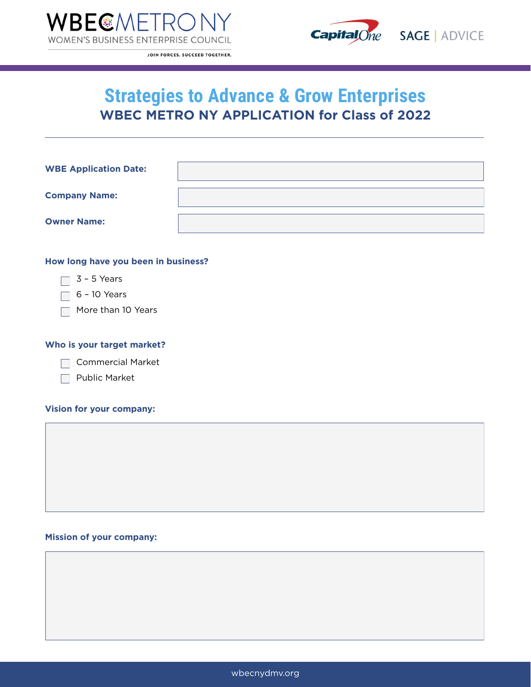



JOIN FORCES, SUCCEED TOGETHER.

# **Strategies to Advance & Grow Enterprises WBEC METRO NY APPLICATION for Class of 2022**

| <b>WBE Application Date:</b> |  |
|------------------------------|--|
| <b>Company Name:</b>         |  |
| <b>Owner Name:</b>           |  |

### **How long have you been in business?**

 $\Box$  3 - 5 Years

 $\Box$  6 - 10 Years

More than 10 Years

### **Who is your target market?**

Commercial Market

Public Market

#### **Vision for your company:**

#### **Mission of your company:**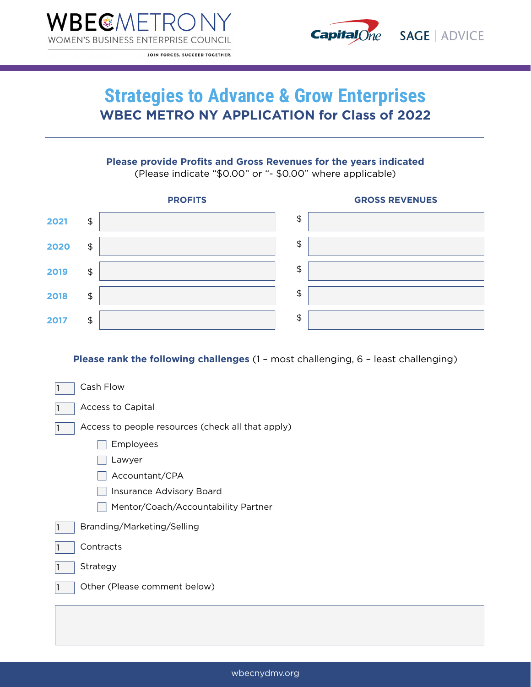





# **Strategies to Advance & Grow Enterprises WBEC METRO NY APPLICATION for Class of 2022**

## **Please provide Profits and Gross Revenues for the years indicated**

(Please indicate "\$0.00" or "- \$0.00" where applicable)



**Please rank the following challenges** (1 – most challenging, 6 – least challenging)

| Cash Flow<br>1                                         |  |  |  |  |
|--------------------------------------------------------|--|--|--|--|
| <b>Access to Capital</b><br>1                          |  |  |  |  |
| Access to people resources (check all that apply)<br>1 |  |  |  |  |
| Employees                                              |  |  |  |  |
| Lawyer                                                 |  |  |  |  |
| Accountant/CPA                                         |  |  |  |  |
| Insurance Advisory Board                               |  |  |  |  |
| Mentor/Coach/Accountability Partner                    |  |  |  |  |
| Branding/Marketing/Selling<br>1                        |  |  |  |  |
| Contracts<br>1                                         |  |  |  |  |
| Strategy<br>1                                          |  |  |  |  |
| Other (Please comment below)<br>1                      |  |  |  |  |
|                                                        |  |  |  |  |